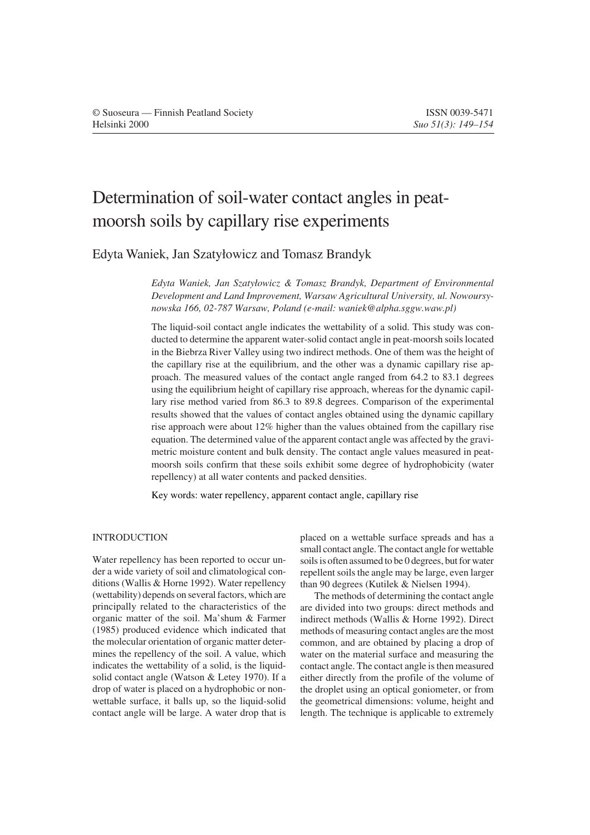# Determination of soil-water contact angles in peatmoorsh soils by capillary rise experiments

Edyta Waniek, Jan Szatylowicz and Tomasz Brandyk

*Edyta Waniek, Jan Szatylowicz & Tomasz Brandyk, Department of Environmental Development and Land Improvement, Warsaw Agricultural University, ul. Nowoursynowska 166, 02-787 Warsaw, Poland (e-mail: waniek@alpha.sggw.waw.pl)*

The liquid-soil contact angle indicates the wettability of a solid. This study was conducted to determine the apparent water-solid contact angle in peat-moorsh soils located in the Biebrza River Valley using two indirect methods. One of them was the height of the capillary rise at the equilibrium, and the other was a dynamic capillary rise approach. The measured values of the contact angle ranged from 64.2 to 83.1 degrees using the equilibrium height of capillary rise approach, whereas for the dynamic capillary rise method varied from 86.3 to 89.8 degrees. Comparison of the experimental results showed that the values of contact angles obtained using the dynamic capillary rise approach were about 12% higher than the values obtained from the capillary rise equation. The determined value of the apparent contact angle was affected by the gravimetric moisture content and bulk density. The contact angle values measured in peatmoorsh soils confirm that these soils exhibit some degree of hydrophobicity (water repellency) at all water contents and packed densities.

Key words: water repellency, apparent contact angle, capillary rise

## INTRODUCTION

Water repellency has been reported to occur under a wide variety of soil and climatological conditions (Wallis & Horne 1992). Water repellency (wettability) depends on several factors, which are principally related to the characteristics of the organic matter of the soil. Ma'shum & Farmer (1985) produced evidence which indicated that the molecular orientation of organic matter determines the repellency of the soil. A value, which indicates the wettability of a solid, is the liquidsolid contact angle (Watson & Letey 1970). If a drop of water is placed on a hydrophobic or nonwettable surface, it balls up, so the liquid-solid contact angle will be large. A water drop that is placed on a wettable surface spreads and has a small contact angle. The contact angle for wettable soils is often assumed to be 0 degrees, but for water repellent soils the angle may be large, even larger than 90 degrees (Kutilek & Nielsen 1994).

The methods of determining the contact angle are divided into two groups: direct methods and indirect methods (Wallis & Horne 1992). Direct methods of measuring contact angles are the most common, and are obtained by placing a drop of water on the material surface and measuring the contact angle. The contact angle is then measured either directly from the profile of the volume of the droplet using an optical goniometer, or from the geometrical dimensions: volume, height and length. The technique is applicable to extremely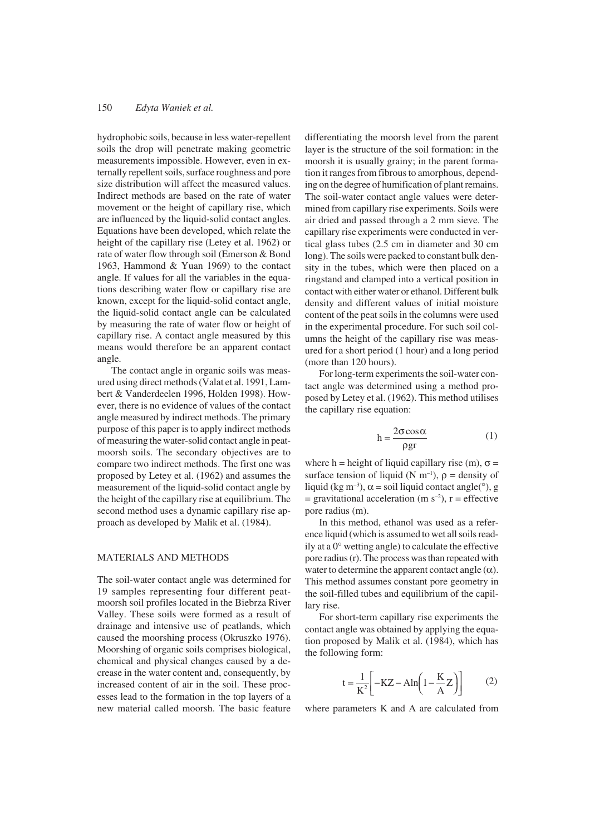#### 150 *Edyta Waniek et al.*

hydrophobic soils, because in less water-repellent soils the drop will penetrate making geometric measurements impossible. However, even in externally repellent soils, surface roughness and pore size distribution will affect the measured values. Indirect methods are based on the rate of water movement or the height of capillary rise, which are influenced by the liquid-solid contact angles. Equations have been developed, which relate the height of the capillary rise (Letey et al. 1962) or rate of water flow through soil (Emerson & Bond 1963, Hammond & Yuan 1969) to the contact angle. If values for all the variables in the equations describing water flow or capillary rise are known, except for the liquid-solid contact angle, the liquid-solid contact angle can be calculated by measuring the rate of water flow or height of capillary rise. A contact angle measured by this means would therefore be an apparent contact angle.

The contact angle in organic soils was measured using direct methods (Valat et al. 1991, Lambert & Vanderdeelen 1996, Holden 1998). However, there is no evidence of values of the contact angle measured by indirect methods. The primary purpose of this paper is to apply indirect methods of measuring the water-solid contact angle in peatmoorsh soils. The secondary objectives are to compare two indirect methods. The first one was proposed by Letey et al. (1962) and assumes the measurement of the liquid-solid contact angle by the height of the capillary rise at equilibrium. The second method uses a dynamic capillary rise approach as developed by Malik et al. (1984).

### MATERIALS AND METHODS

The soil-water contact angle was determined for 19 samples representing four different peatmoorsh soil profiles located in the Biebrza River Valley. These soils were formed as a result of drainage and intensive use of peatlands, which caused the moorshing process (Okruszko 1976). Moorshing of organic soils comprises biological, chemical and physical changes caused by a decrease in the water content and, consequently, by increased content of air in the soil. These processes lead to the formation in the top layers of a new material called moorsh. The basic feature

differentiating the moorsh level from the parent layer is the structure of the soil formation: in the moorsh it is usually grainy; in the parent formation it ranges from fibrous to amorphous, depending on the degree of humification of plant remains. The soil-water contact angle values were determined from capillary rise experiments. Soils were air dried and passed through a 2 mm sieve. The capillary rise experiments were conducted in vertical glass tubes (2.5 cm in diameter and 30 cm long). The soils were packed to constant bulk density in the tubes, which were then placed on a ringstand and clamped into a vertical position in contact with either water or ethanol. Different bulk density and different values of initial moisture content of the peat soils in the columns were used in the experimental procedure. For such soil columns the height of the capillary rise was measured for a short period (1 hour) and a long period (more than 120 hours).

For long-term experiments the soil-water contact angle was determined using a method proposed by Letey et al. (1962). This method utilises the capillary rise equation:

$$
h = \frac{2\sigma \cos \alpha}{\rho gr} \tag{1}
$$

where h = height of liquid capillary rise (m),  $\sigma$  = surface tension of liquid ( $N$  m<sup>-1</sup>),  $\rho$  = density of liquid (kg m<sup>-3</sup>),  $\alpha$  = soil liquid contact angle(<sup>o</sup>), g  $=$  gravitational acceleration (m s<sup>-2</sup>), r = effective pore radius (m).

In this method, ethanol was used as a reference liquid (which is assumed to wet all soils readily at a 0° wetting angle) to calculate the effective pore radius (r). The process was than repeated with water to determine the apparent contact angle  $(\alpha)$ . This method assumes constant pore geometry in the soil-filled tubes and equilibrium of the capillary rise.

For short-term capillary rise experiments the contact angle was obtained by applying the equation proposed by Malik et al. (1984), which has the following form:

$$
t = \frac{1}{K^2} \left[ -KZ - Aln \left( 1 - \frac{K}{A} Z \right) \right]
$$
 (2)

where parameters K and A are calculated from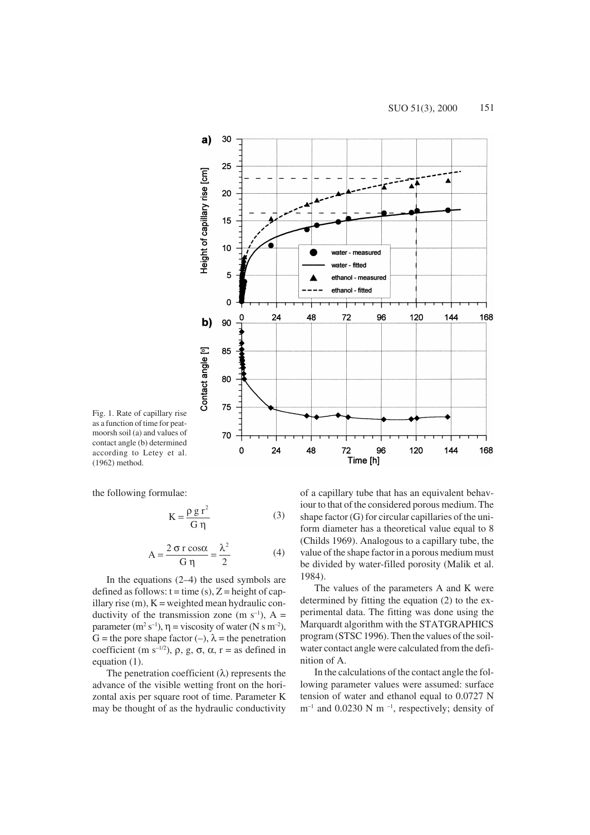

Fig. 1. Rate of capillary rise as a function of time for peatmoorsh soil (a) and values of contact angle (b) determined according to Letey et al. (1962) method.

the following formulae:

$$
K = \frac{\rho g r^2}{G \eta}
$$
 (3)

$$
A = \frac{2 \sigma r \cos \alpha}{G \eta} = \frac{\lambda^2}{2}
$$
 (4)

In the equations (2–4) the used symbols are defined as follows:  $t = time(s)$ ,  $Z = height of cap$ illary rise  $(m)$ ,  $K =$  weighted mean hydraulic conductivity of the transmission zone (m  $s^{-1}$ ), A = parameter  $(m^2 s^{-1})$ ,  $\eta$  = viscosity of water (N s m<sup>-2</sup>), G = the pore shape factor (–),  $\lambda$  = the penetration coefficient (m s<sup>-1/2</sup>),  $\rho$ , g,  $\sigma$ ,  $\alpha$ , r = as defined in equation (1).

The penetration coefficient  $(\lambda)$  represents the advance of the visible wetting front on the horizontal axis per square root of time. Parameter K may be thought of as the hydraulic conductivity

of a capillary tube that has an equivalent behaviour to that of the considered porous medium. The shape factor (G) for circular capillaries of the uniform diameter has a theoretical value equal to 8 (Childs 1969). Analogous to a capillary tube, the value of the shape factor in a porous medium must be divided by water-filled porosity (Malik et al. 1984).

The values of the parameters A and K were determined by fitting the equation (2) to the experimental data. The fitting was done using the Marquardt algorithm with the STATGRAPHICS program (STSC 1996). Then the values of the soilwater contact angle were calculated from the definition of A.

In the calculations of the contact angle the following parameter values were assumed: surface tension of water and ethanol equal to 0.0727 N  $m^{-1}$  and 0.0230 N m<sup>-1</sup>, respectively; density of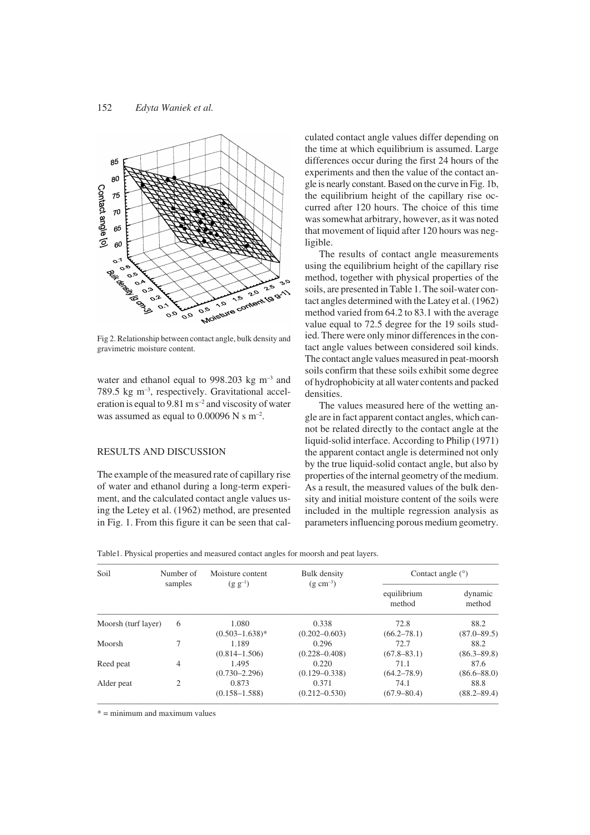

Fig 2. Relationship between contact angle, bulk density and gravimetric moisture content.

water and ethanol equal to 998.203 kg m<sup>-3</sup> and 789.5 kg m–3 , respectively. Gravitational acceleration is equal to  $9.81 \text{ m s}^{-2}$  and viscosity of water was assumed as equal to  $0.00096$  N s m<sup>-2</sup>.

### RESULTS AND DISCUSSION

The example of the measured rate of capillary rise of water and ethanol during a long-term experiment, and the calculated contact angle values using the Letey et al. (1962) method, are presented in Fig. 1. From this figure it can be seen that calculated contact angle values differ depending on the time at which equilibrium is assumed. Large differences occur during the first 24 hours of the experiments and then the value of the contact angle is nearly constant. Based on the curve in Fig. 1b, the equilibrium height of the capillary rise occurred after 120 hours. The choice of this time was somewhat arbitrary, however, as it was noted that movement of liquid after 120 hours was negligible.

The results of contact angle measurements using the equilibrium height of the capillary rise method, together with physical properties of the soils, are presented in Table 1. The soil-water contact angles determined with the Latey et al. (1962) method varied from 64.2 to 83.1 with the average value equal to 72.5 degree for the 19 soils studied. There were only minor differences in the contact angle values between considered soil kinds. The contact angle values measured in peat-moorsh soils confirm that these soils exhibit some degree of hydrophobicity at all water contents and packed densities.

The values measured here of the wetting angle are in fact apparent contact angles, which cannot be related directly to the contact angle at the liquid-solid interface. According to Philip (1971) the apparent contact angle is determined not only by the true liquid-solid contact angle, but also by properties of the internal geometry of the medium. As a result, the measured values of the bulk density and initial moisture content of the soils were included in the multiple regression analysis as parameters influencing porous medium geometry.

|  |  | Table1. Physical properties and measured contact angles for moorsh and peat layers. |  |
|--|--|-------------------------------------------------------------------------------------|--|
|  |  |                                                                                     |  |

| Soil                | Number of<br>samples | Moisture content<br>$(g g^{-1})$ | Bulk density<br>$(g \text{ cm}^{-3})$ | Contact angle $(°)$   |                   |
|---------------------|----------------------|----------------------------------|---------------------------------------|-----------------------|-------------------|
|                     |                      |                                  |                                       | equilibrium<br>method | dynamic<br>method |
| Moorsh (turf layer) | 6                    | 1.080                            | 0.338                                 | 72.8                  | 88.2              |
|                     |                      | $(0.503 - 1.638)^*$              | $(0.202 - 0.603)$                     | $(66.2 - 78.1)$       | $(87.0 - 89.5)$   |
| Moorsh              |                      | 1.189                            | 0.296                                 | 72.7                  | 88.2              |
|                     |                      | $(0.814 - 1.506)$                | $(0.228 - 0.408)$                     | $(67.8 - 83.1)$       | $(86.3 - 89.8)$   |
| Reed peat           | $\overline{4}$       | 1.495                            | 0.220                                 | 71.1                  | 87.6              |
|                     |                      | $(0.730 - 2.296)$                | $(0.129 - 0.338)$                     | $(64.2 - 78.9)$       | $(86.6 - 88.0)$   |
| Alder peat          | $\overline{c}$       | 0.873                            | 0.371                                 | 74.1                  | 88.8              |
|                     |                      | $(0.158 - 1.588)$                | $(0.212 - 0.530)$                     | $(67.9 - 80.4)$       | $(88.2 - 89.4)$   |

\* = minimum and maximum values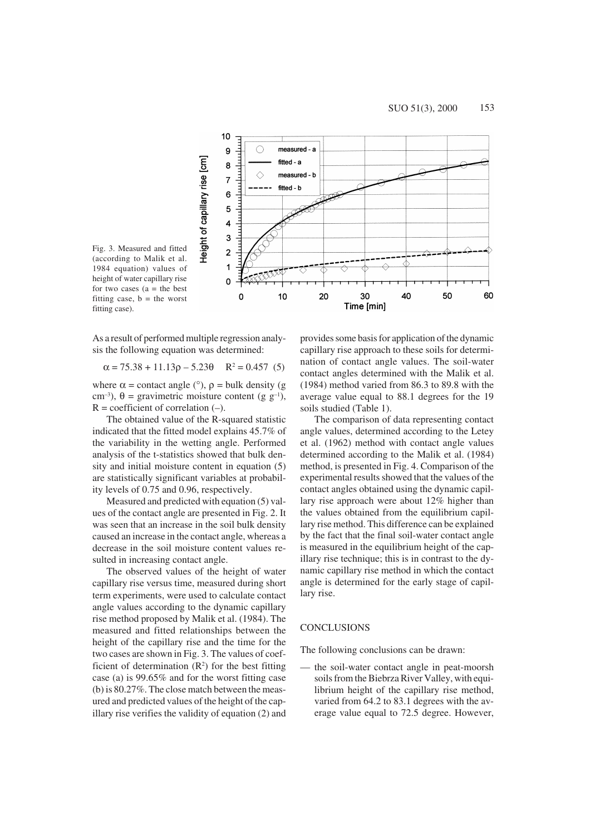

Fig. 3. Measured and fitted (according to Malik et al. 1984 equation) values of height of water capillary rise for two cases  $(a = the best)$ fitting case,  $b =$  the worst fitting case).

As a result of performed multiple regression analysis the following equation was determined:

$$
\alpha = 75.38 + 11.13\rho - 5.23\theta \quad R^2 = 0.457 \tag{5}
$$

where  $\alpha$  = contact angle (°),  $\rho$  = bulk density (g cm<sup>-3</sup>),  $\theta$  = gravimetric moisture content (g g<sup>-1</sup>),  $R =$  coefficient of correlation  $(-)$ .

The obtained value of the R-squared statistic indicated that the fitted model explains 45.7% of the variability in the wetting angle. Performed analysis of the t-statistics showed that bulk density and initial moisture content in equation (5) are statistically significant variables at probability levels of 0.75 and 0.96, respectively.

Measured and predicted with equation (5) values of the contact angle are presented in Fig. 2. It was seen that an increase in the soil bulk density caused an increase in the contact angle, whereas a decrease in the soil moisture content values resulted in increasing contact angle.

The observed values of the height of water capillary rise versus time, measured during short term experiments, were used to calculate contact angle values according to the dynamic capillary rise method proposed by Malik et al. (1984). The measured and fitted relationships between the height of the capillary rise and the time for the two cases are shown in Fig. 3. The values of coefficient of determination  $(R^2)$  for the best fitting case (a) is 99.65% and for the worst fitting case (b) is 80.27%. The close match between the measured and predicted values of the height of the capillary rise verifies the validity of equation (2) and

provides some basis for application of the dynamic capillary rise approach to these soils for determination of contact angle values. The soil-water contact angles determined with the Malik et al. (1984) method varied from 86.3 to 89.8 with the average value equal to 88.1 degrees for the 19 soils studied (Table 1).

The comparison of data representing contact angle values, determined according to the Letey et al. (1962) method with contact angle values determined according to the Malik et al. (1984) method, is presented in Fig. 4. Comparison of the experimental results showed that the values of the contact angles obtained using the dynamic capillary rise approach were about 12% higher than the values obtained from the equilibrium capillary rise method. This difference can be explained by the fact that the final soil-water contact angle is measured in the equilibrium height of the capillary rise technique; this is in contrast to the dynamic capillary rise method in which the contact angle is determined for the early stage of capillary rise.

#### **CONCLUSIONS**

The following conclusions can be drawn:

— the soil-water contact angle in peat-moorsh soils from the Biebrza River Valley, with equilibrium height of the capillary rise method, varied from 64.2 to 83.1 degrees with the average value equal to 72.5 degree. However,